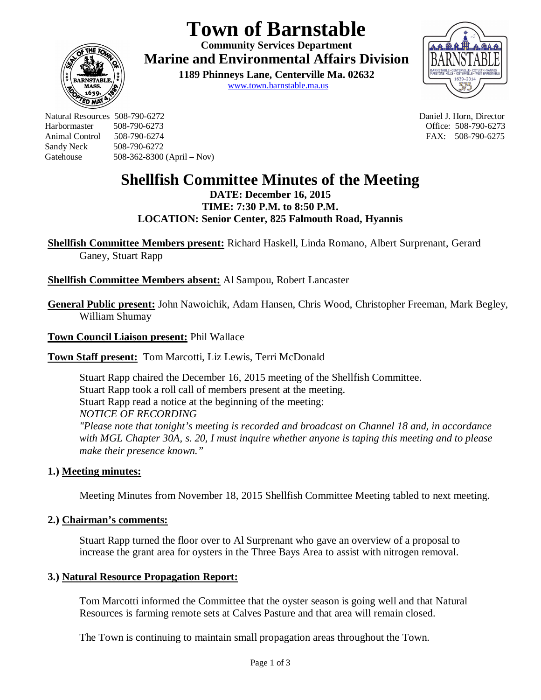# **Town of Barnstable**

**Community Services Department Marine and Environmental Affairs Division** 

> **1189 Phinneys Lane, Centerville Ma. 02632** www.town.barnstable.ma.us



Natural Resources 508-790-6272 Daniel J. Horn, Director Harbormaster 508-790-6273 Office: 508-790-6273 Sandy Neck 508-790-6272 Gatehouse 508-362-8300 (April – Nov)

**ED MP** 

FAX: 508-790-6275

# **Shellfish Committee Minutes of the Meeting**

**DATE: December 16, 2015 TIME: 7:30 P.M. to 8:50 P.M. LOCATION: Senior Center, 825 Falmouth Road, Hyannis**

**Shellfish Committee Members present:** Richard Haskell, Linda Romano, Albert Surprenant, Gerard Ganey, Stuart Rapp

## **Shellfish Committee Members absent:** Al Sampou, Robert Lancaster

**General Public present:** John Nawoichik, Adam Hansen, Chris Wood, Christopher Freeman, Mark Begley, William Shumay

**Town Council Liaison present:** Phil Wallace

**Town Staff present:** Tom Marcotti, Liz Lewis, Terri McDonald

Stuart Rapp chaired the December 16, 2015 meeting of the Shellfish Committee. Stuart Rapp took a roll call of members present at the meeting. Stuart Rapp read a notice at the beginning of the meeting: *NOTICE OF RECORDING "Please note that tonight's meeting is recorded and broadcast on Channel 18 and, in accordance with MGL Chapter 30A, s. 20, I must inquire whether anyone is taping this meeting and to please make their presence known."*

### **1.) Meeting minutes:**

Meeting Minutes from November 18, 2015 Shellfish Committee Meeting tabled to next meeting.

#### **2.) Chairman's comments:**

Stuart Rapp turned the floor over to Al Surprenant who gave an overview of a proposal to increase the grant area for oysters in the Three Bays Area to assist with nitrogen removal.

#### **3.) Natural Resource Propagation Report:**

Tom Marcotti informed the Committee that the oyster season is going well and that Natural Resources is farming remote sets at Calves Pasture and that area will remain closed.

The Town is continuing to maintain small propagation areas throughout the Town.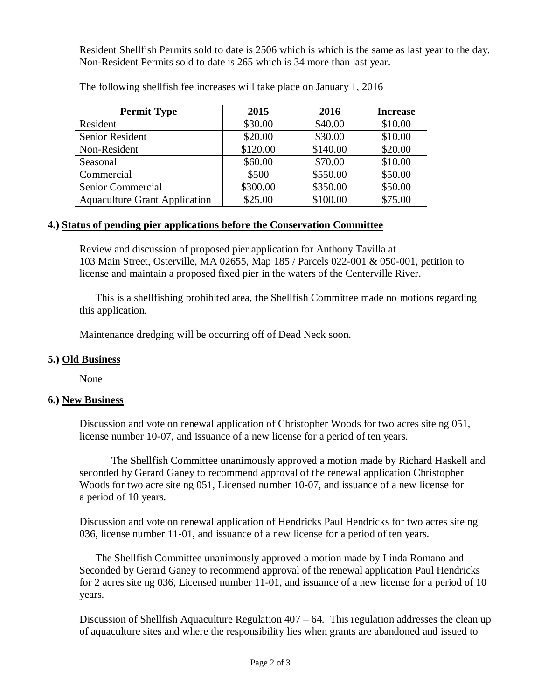Resident Shellfish Permits sold to date is 2506 which is which is the same as last year to the day. Non-Resident Permits sold to date is 265 which is 34 more than last year.

| <b>Permit Type</b>                   | 2015     | 2016     | <b>Increase</b> |
|--------------------------------------|----------|----------|-----------------|
| Resident                             | \$30.00  | \$40.00  | \$10.00         |
| Senior Resident                      | \$20.00  | \$30.00  | \$10.00         |
| Non-Resident                         | \$120.00 | \$140.00 | \$20.00         |
| Seasonal                             | \$60.00  | \$70.00  | \$10.00         |
| Commercial                           | \$500    | \$550.00 | \$50.00         |
| Senior Commercial                    | \$300.00 | \$350.00 | \$50.00         |
| <b>Aquaculture Grant Application</b> | \$25.00  | \$100.00 | \$75.00         |

The following shellfish fee increases will take place on January 1, 2016

#### **4.) Status of pending pier applications before the Conservation Committee**

Review and discussion of proposed pier application for Anthony Tavilla at 103 Main Street, Osterville, MA 02655, Map 185 / Parcels 022-001 & 050-001, petition to license and maintain a proposed fixed pier in the waters of the Centerville River.

This is a shellfishing prohibited area, the Shellfish Committee made no motions regarding this application.

Maintenance dredging will be occurring off of Dead Neck soon.

#### **5.) Old Business**

None

#### **6.) New Business**

Discussion and vote on renewal application of Christopher Woods for two acres site ng 051, license number 10-07, and issuance of a new license for a period of ten years.

The Shellfish Committee unanimously approved a motion made by Richard Haskell and seconded by Gerard Ganey to recommend approval of the renewal application Christopher Woods for two acre site ng 051, Licensed number 10-07, and issuance of a new license for a period of 10 years.

Discussion and vote on renewal application of Hendricks Paul Hendricks for two acres site ng 036, license number 11-01, and issuance of a new license for a period of ten years.

The Shellfish Committee unanimously approved a motion made by Linda Romano and Seconded by Gerard Ganey to recommend approval of the renewal application Paul Hendricks for 2 acres site ng 036, Licensed number 11-01, and issuance of a new license for a period of 10 years.

Discussion of Shellfish Aquaculture Regulation  $407 - 64$ . This regulation addresses the clean up of aquaculture sites and where the responsibility lies when grants are abandoned and issued to